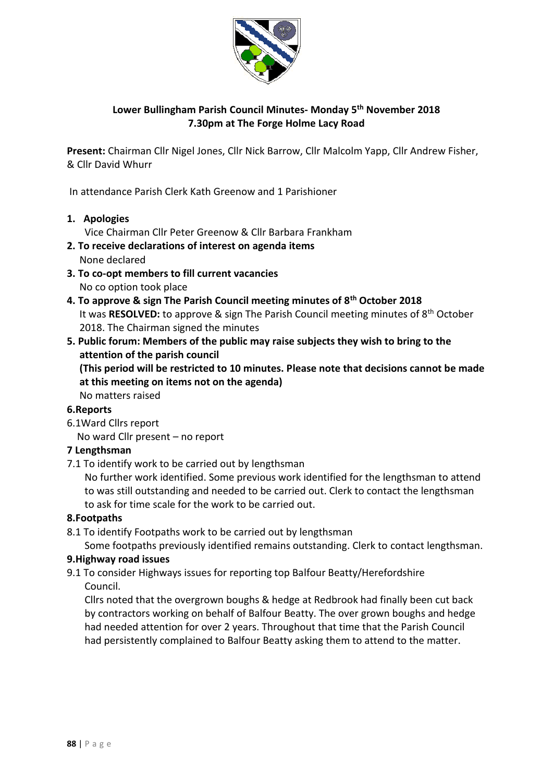

## **Lower Bullingham Parish Council Minutes- Monday 5 th November 2018 7.30pm at The Forge Holme Lacy Road**

**Present:** Chairman Cllr Nigel Jones, Cllr Nick Barrow, Cllr Malcolm Yapp, Cllr Andrew Fisher, & Cllr David Whurr

In attendance Parish Clerk Kath Greenow and 1 Parishioner

**1. Apologies** 

Vice Chairman Cllr Peter Greenow & Cllr Barbara Frankham

- **2. To receive declarations of interest on agenda items** None declared
- **3. To co-opt members to fill current vacancies**  No co option took place
- **4. To approve & sign The Parish Council meeting minutes of 8th October 2018**  It was **RESOLVED:** to approve & sign The Parish Council meeting minutes of 8th October 2018. The Chairman signed the minutes
- **5. Public forum: Members of the public may raise subjects they wish to bring to the attention of the parish council**

 **(This period will be restricted to 10 minutes. Please note that decisions cannot be made at this meeting on items not on the agenda)**

No matters raised

#### **6.Reports**

6.1Ward Cllrs report

No ward Cllr present – no report

## **7 Lengthsman**

7.1 To identify work to be carried out by lengthsman

 No further work identified. Some previous work identified for the lengthsman to attend to was still outstanding and needed to be carried out. Clerk to contact the lengthsman to ask for time scale for the work to be carried out.

#### **8.Footpaths**

8.1 To identify Footpaths work to be carried out by lengthsman

Some footpaths previously identified remains outstanding. Clerk to contact lengthsman.

#### **9.Highway road issues**

9.1 To consider Highways issues for reporting top Balfour Beatty/Herefordshire Council.

 Cllrs noted that the overgrown boughs & hedge at Redbrook had finally been cut back by contractors working on behalf of Balfour Beatty. The over grown boughs and hedge had needed attention for over 2 years. Throughout that time that the Parish Council had persistently complained to Balfour Beatty asking them to attend to the matter.